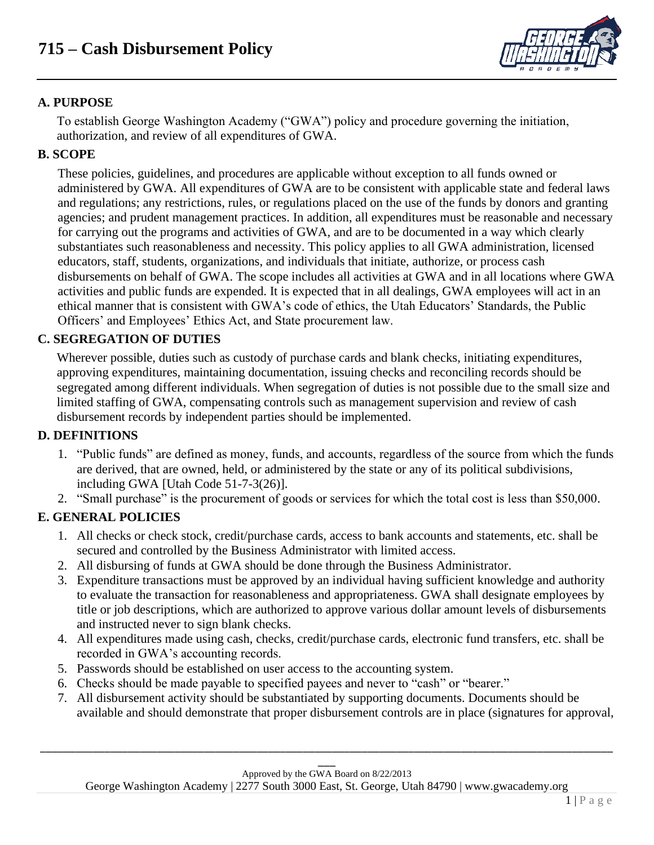

# **A. PURPOSE**

To establish George Washington Academy ("GWA") policy and procedure governing the initiation, authorization, and review of all expenditures of GWA.

#### **B. SCOPE**

These policies, guidelines, and procedures are applicable without exception to all funds owned or administered by GWA. All expenditures of GWA are to be consistent with applicable state and federal laws and regulations; any restrictions, rules, or regulations placed on the use of the funds by donors and granting agencies; and prudent management practices. In addition, all expenditures must be reasonable and necessary for carrying out the programs and activities of GWA, and are to be documented in a way which clearly substantiates such reasonableness and necessity. This policy applies to all GWA administration, licensed educators, staff, students, organizations, and individuals that initiate, authorize, or process cash disbursements on behalf of GWA. The scope includes all activities at GWA and in all locations where GWA activities and public funds are expended. It is expected that in all dealings, GWA employees will act in an ethical manner that is consistent with GWA's code of ethics, the Utah Educators' Standards, the Public Officers' and Employees' Ethics Act, and State procurement law.

# **C. SEGREGATION OF DUTIES**

Wherever possible, duties such as custody of purchase cards and blank checks, initiating expenditures, approving expenditures, maintaining documentation, issuing checks and reconciling records should be segregated among different individuals. When segregation of duties is not possible due to the small size and limited staffing of GWA, compensating controls such as management supervision and review of cash disbursement records by independent parties should be implemented.

#### **D. DEFINITIONS**

- 1. "Public funds" are defined as money, funds, and accounts, regardless of the source from which the funds are derived, that are owned, held, or administered by the state or any of its political subdivisions, including GWA [Utah Code 51-7-3(26)].
- 2. "Small purchase" is the procurement of goods or services for which the total cost is less than \$50,000.

# **E. GENERAL POLICIES**

- 1. All checks or check stock, credit/purchase cards, access to bank accounts and statements, etc. shall be secured and controlled by the Business Administrator with limited access.
- 2. All disbursing of funds at GWA should be done through the Business Administrator.
- 3. Expenditure transactions must be approved by an individual having sufficient knowledge and authority to evaluate the transaction for reasonableness and appropriateness. GWA shall designate employees by title or job descriptions, which are authorized to approve various dollar amount levels of disbursements and instructed never to sign blank checks.
- 4. All expenditures made using cash, checks, credit/purchase cards, electronic fund transfers, etc. shall be recorded in GWA's accounting records.
- 5. Passwords should be established on user access to the accounting system.
- 6. Checks should be made payable to specified payees and never to "cash" or "bearer."
- 7. All disbursement activity should be substantiated by supporting documents. Documents should be available and should demonstrate that proper disbursement controls are in place (signatures for approval,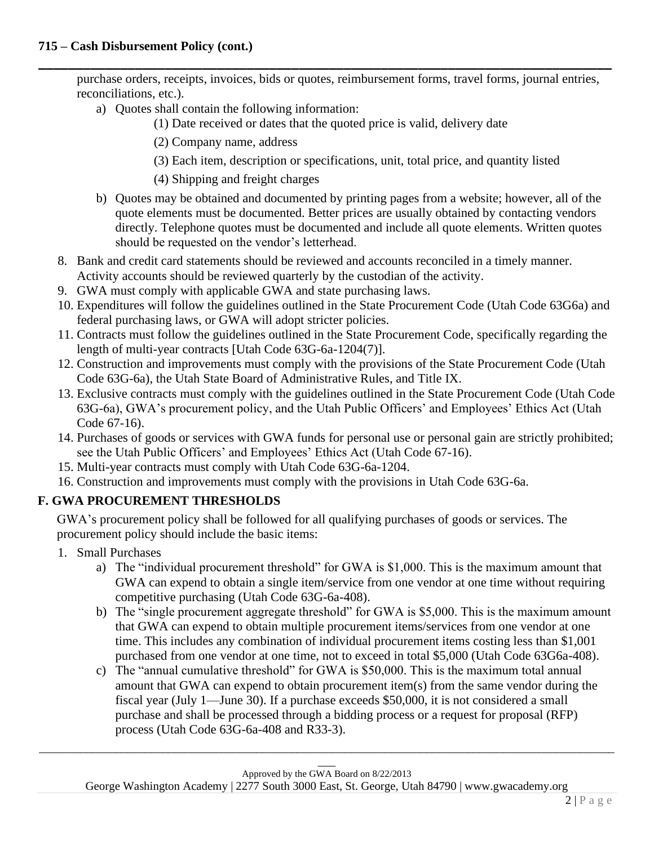purchase orders, receipts, invoices, bids or quotes, reimbursement forms, travel forms, journal entries, reconciliations, etc.).

- a) Quotes shall contain the following information:
	- (1) Date received or dates that the quoted price is valid, delivery date

**\_\_\_\_\_\_\_\_\_\_\_\_\_\_\_\_\_\_\_\_\_\_\_\_\_\_\_\_\_\_\_\_\_\_\_\_\_\_\_\_\_\_\_\_\_\_\_\_\_\_\_\_\_\_\_\_\_\_\_\_\_\_\_\_\_\_\_\_\_\_\_\_\_\_\_\_\_**

(2) Company name, address

- (3) Each item, description or specifications, unit, total price, and quantity listed
- (4) Shipping and freight charges
- b) Quotes may be obtained and documented by printing pages from a website; however, all of the quote elements must be documented. Better prices are usually obtained by contacting vendors directly. Telephone quotes must be documented and include all quote elements. Written quotes should be requested on the vendor's letterhead.
- 8. Bank and credit card statements should be reviewed and accounts reconciled in a timely manner. Activity accounts should be reviewed quarterly by the custodian of the activity.
- 9. GWA must comply with applicable GWA and state purchasing laws.
- 10. Expenditures will follow the guidelines outlined in the State Procurement Code (Utah Code 63G6a) and federal purchasing laws, or GWA will adopt stricter policies.
- 11. Contracts must follow the guidelines outlined in the State Procurement Code, specifically regarding the length of multi-year contracts [Utah Code 63G-6a-1204(7)].
- 12. Construction and improvements must comply with the provisions of the State Procurement Code (Utah Code 63G-6a), the Utah State Board of Administrative Rules, and Title IX.
- 13. Exclusive contracts must comply with the guidelines outlined in the State Procurement Code (Utah Code 63G-6a), GWA's procurement policy, and the Utah Public Officers' and Employees' Ethics Act (Utah Code 67-16).
- 14. Purchases of goods or services with GWA funds for personal use or personal gain are strictly prohibited; see the Utah Public Officers' and Employees' Ethics Act (Utah Code 67-16).
- 15. Multi-year contracts must comply with Utah Code 63G-6a-1204.
- 16. Construction and improvements must comply with the provisions in Utah Code 63G-6a.

# **F. GWA PROCUREMENT THRESHOLDS**

GWA's procurement policy shall be followed for all qualifying purchases of goods or services. The procurement policy should include the basic items:

- 1. Small Purchases
	- a) The "individual procurement threshold" for GWA is \$1,000. This is the maximum amount that GWA can expend to obtain a single item/service from one vendor at one time without requiring competitive purchasing (Utah Code 63G-6a-408).
	- b) The "single procurement aggregate threshold" for GWA is \$5,000. This is the maximum amount that GWA can expend to obtain multiple procurement items/services from one vendor at one time. This includes any combination of individual procurement items costing less than \$1,001 purchased from one vendor at one time, not to exceed in total \$5,000 (Utah Code 63G6a-408).
	- c) The "annual cumulative threshold" for GWA is \$50,000. This is the maximum total annual amount that GWA can expend to obtain procurement item(s) from the same vendor during the fiscal year (July 1—June 30). If a purchase exceeds \$50,000, it is not considered a small purchase and shall be processed through a bidding process or a request for proposal (RFP) process (Utah Code 63G-6a-408 and R33-3).

George Washington Academy | 2277 South 3000 East, St. George, Utah 84790 | www.gwacademy.org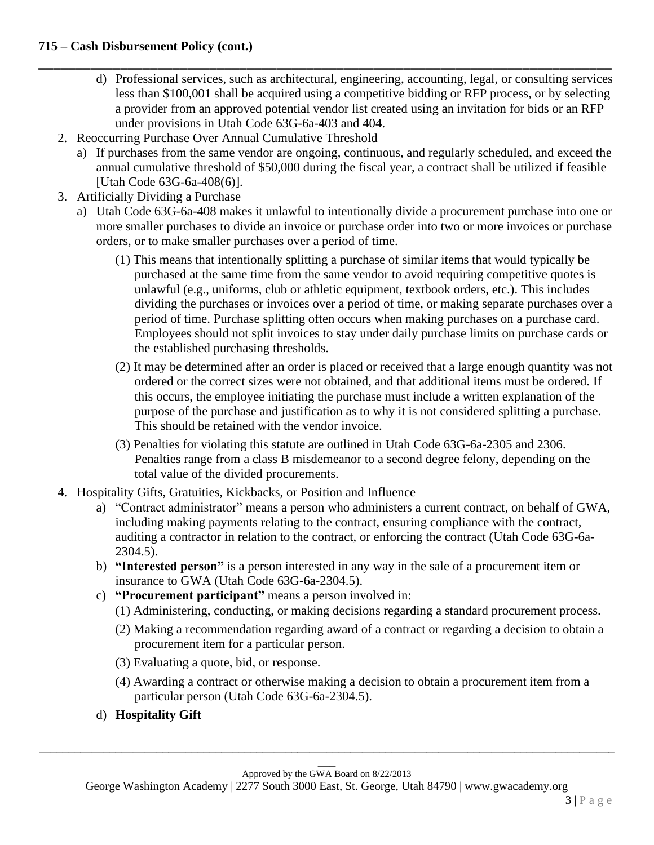- **\_\_\_\_\_\_\_\_\_\_\_\_\_\_\_\_\_\_\_\_\_\_\_\_\_\_\_\_\_\_\_\_\_\_\_\_\_\_\_\_\_\_\_\_\_\_\_\_\_\_\_\_\_\_\_\_\_\_\_\_\_\_\_\_\_\_\_\_\_\_\_\_\_\_\_\_\_** d) Professional services, such as architectural, engineering, accounting, legal, or consulting services less than \$100,001 shall be acquired using a competitive bidding or RFP process, or by selecting a provider from an approved potential vendor list created using an invitation for bids or an RFP under provisions in Utah Code 63G-6a-403 and 404.
	- 2. Reoccurring Purchase Over Annual Cumulative Threshold
		- a) If purchases from the same vendor are ongoing, continuous, and regularly scheduled, and exceed the annual cumulative threshold of \$50,000 during the fiscal year, a contract shall be utilized if feasible [Utah Code 63G-6a-408(6)].
	- 3. Artificially Dividing a Purchase
		- a) Utah Code 63G-6a-408 makes it unlawful to intentionally divide a procurement purchase into one or more smaller purchases to divide an invoice or purchase order into two or more invoices or purchase orders, or to make smaller purchases over a period of time.
			- (1) This means that intentionally splitting a purchase of similar items that would typically be purchased at the same time from the same vendor to avoid requiring competitive quotes is unlawful (e.g., uniforms, club or athletic equipment, textbook orders, etc.). This includes dividing the purchases or invoices over a period of time, or making separate purchases over a period of time. Purchase splitting often occurs when making purchases on a purchase card. Employees should not split invoices to stay under daily purchase limits on purchase cards or the established purchasing thresholds.
			- (2) It may be determined after an order is placed or received that a large enough quantity was not ordered or the correct sizes were not obtained, and that additional items must be ordered. If this occurs, the employee initiating the purchase must include a written explanation of the purpose of the purchase and justification as to why it is not considered splitting a purchase. This should be retained with the vendor invoice.
			- (3) Penalties for violating this statute are outlined in Utah Code 63G-6a-2305 and 2306. Penalties range from a class B misdemeanor to a second degree felony, depending on the total value of the divided procurements.
	- 4. Hospitality Gifts, Gratuities, Kickbacks, or Position and Influence
		- a) "Contract administrator" means a person who administers a current contract, on behalf of GWA, including making payments relating to the contract, ensuring compliance with the contract, auditing a contractor in relation to the contract, or enforcing the contract (Utah Code 63G-6a-2304.5).
		- b) **"Interested person"** is a person interested in any way in the sale of a procurement item or insurance to GWA (Utah Code 63G-6a-2304.5).
		- c) **"Procurement participant"** means a person involved in:
			- (1) Administering, conducting, or making decisions regarding a standard procurement process.
			- (2) Making a recommendation regarding award of a contract or regarding a decision to obtain a procurement item for a particular person.
			- (3) Evaluating a quote, bid, or response.
			- (4) Awarding a contract or otherwise making a decision to obtain a procurement item from a particular person (Utah Code 63G-6a-2304.5).
		- d) **Hospitality Gift**

\_\_\_\_\_\_\_\_\_\_\_\_\_\_\_\_\_\_\_\_\_\_\_\_\_\_\_\_\_\_\_\_\_\_\_\_\_\_\_\_\_\_\_\_\_\_\_\_\_\_\_\_\_\_\_\_\_\_\_\_\_\_\_\_\_\_\_\_\_\_\_\_\_\_\_\_\_\_\_\_\_\_\_\_\_\_\_\_\_\_\_\_\_\_\_\_\_\_

George Washington Academy | 2277 South 3000 East, St. George, Utah 84790 | www.gwacademy.org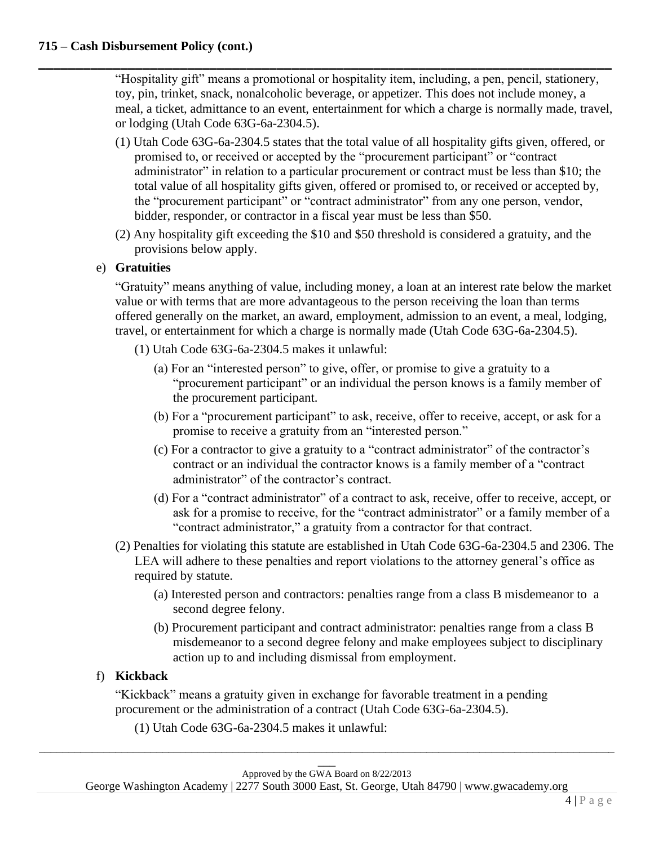"Hospitality gift" means a promotional or hospitality item, including, a pen, pencil, stationery, toy, pin, trinket, snack, nonalcoholic beverage, or appetizer. This does not include money, a meal, a ticket, admittance to an event, entertainment for which a charge is normally made, travel, or lodging (Utah Code 63G-6a-2304.5).

**\_\_\_\_\_\_\_\_\_\_\_\_\_\_\_\_\_\_\_\_\_\_\_\_\_\_\_\_\_\_\_\_\_\_\_\_\_\_\_\_\_\_\_\_\_\_\_\_\_\_\_\_\_\_\_\_\_\_\_\_\_\_\_\_\_\_\_\_\_\_\_\_\_\_\_\_\_**

- (1) Utah Code 63G-6a-2304.5 states that the total value of all hospitality gifts given, offered, or promised to, or received or accepted by the "procurement participant" or "contract administrator" in relation to a particular procurement or contract must be less than \$10; the total value of all hospitality gifts given, offered or promised to, or received or accepted by, the "procurement participant" or "contract administrator" from any one person, vendor, bidder, responder, or contractor in a fiscal year must be less than \$50.
- (2) Any hospitality gift exceeding the \$10 and \$50 threshold is considered a gratuity, and the provisions below apply.

#### e) **Gratuities**

"Gratuity" means anything of value, including money, a loan at an interest rate below the market value or with terms that are more advantageous to the person receiving the loan than terms offered generally on the market, an award, employment, admission to an event, a meal, lodging, travel, or entertainment for which a charge is normally made (Utah Code 63G-6a-2304.5).

- (1) Utah Code 63G-6a-2304.5 makes it unlawful:
	- (a) For an "interested person" to give, offer, or promise to give a gratuity to a "procurement participant" or an individual the person knows is a family member of the procurement participant.
	- (b) For a "procurement participant" to ask, receive, offer to receive, accept, or ask for a promise to receive a gratuity from an "interested person."
	- (c) For a contractor to give a gratuity to a "contract administrator" of the contractor's contract or an individual the contractor knows is a family member of a "contract administrator" of the contractor's contract.
	- (d) For a "contract administrator" of a contract to ask, receive, offer to receive, accept, or ask for a promise to receive, for the "contract administrator" or a family member of a "contract administrator," a gratuity from a contractor for that contract.
- (2) Penalties for violating this statute are established in Utah Code 63G-6a-2304.5 and 2306. The LEA will adhere to these penalties and report violations to the attorney general's office as required by statute.
	- (a) Interested person and contractors: penalties range from a class B misdemeanor to a second degree felony.
	- (b) Procurement participant and contract administrator: penalties range from a class B misdemeanor to a second degree felony and make employees subject to disciplinary action up to and including dismissal from employment.

# f) **Kickback**

"Kickback" means a gratuity given in exchange for favorable treatment in a pending procurement or the administration of a contract (Utah Code 63G-6a-2304.5).

(1) Utah Code 63G-6a-2304.5 makes it unlawful:

George Washington Academy | 2277 South 3000 East, St. George, Utah 84790 | www.gwacademy.org